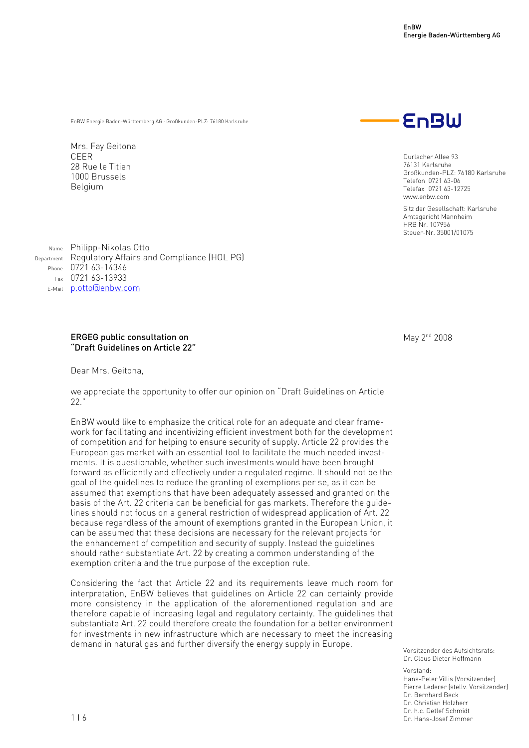EnBW Energie Baden-Württemberg AG · Großkunden-PLZ: 76180 Karlsruhe

Mrs. Fay Geitona CEER 28 Rue le Titien 1000 Brussels Belgium



Durlacher Allee 93 76131 Karlsruhe Großkunden-PLZ: 76180 Karlsruhe Telefon 0721 63-06 Telefax 0721 63-12725 www.enbw.com

Sitz der Gesellschaft: Karlsruhe Amtsgericht Mannheim HRB Nr. 107956 Steuer-Nr. 35001/01075

Name Philipp-Nikolas Otto Department Regulatory Affairs and Compliance (HOL PG) Phone 0721 63-14346 Fax 0721 63-13933 E-Mail p.otto@enbw.com

## ERGEG public consultation on "Draft Guidelines on Article 22"

Dear Mrs. Geitona,

we appreciate the opportunity to offer our opinion on "Draft Guidelines on Article 22."

EnBW would like to emphasize the critical role for an adequate and clear framework for facilitating and incentivizing efficient investment both for the development of competition and for helping to ensure security of supply. Article 22 provides the European gas market with an essential tool to facilitate the much needed investments. It is questionable, whether such investments would have been brought forward as efficiently and effectively under a regulated regime. It should not be the goal of the guidelines to reduce the granting of exemptions per se, as it can be assumed that exemptions that have been adequately assessed and granted on the basis of the Art. 22 criteria can be beneficial for gas markets. Therefore the guidelines should not focus on a general restriction of widespread application of Art. 22 because regardless of the amount of exemptions granted in the European Union, it can be assumed that these decisions are necessary for the relevant projects for the enhancement of competition and security of supply. Instead the guidelines should rather substantiate Art. 22 by creating a common understanding of the exemption criteria and the true purpose of the exception rule.

Considering the fact that Article 22 and its requirements leave much room for interpretation, EnBW believes that guidelines on Article 22 can certainly provide more consistency in the application of the aforementioned regulation and are therefore capable of increasing legal and regulatory certainty. The guidelines that substantiate Art. 22 could therefore create the foundation for a better environment for investments in new infrastructure which are necessary to meet the increasing demand in natural gas and further diversify the energy supply in Europe.

May 2<sup>nd</sup> 2008

Vorsitzender des Aufsichtsrats: Dr. Claus Dieter Hoffmann

Vorstand: Hans-Peter Villis (Vorsitzender) Pierre Lederer (stellv. Vorsitzender) Dr. Bernhard Beck Dr. Christian Holzherr Dr. h.c. Detlef Schmidt Dr. Hans-Josef Zimmer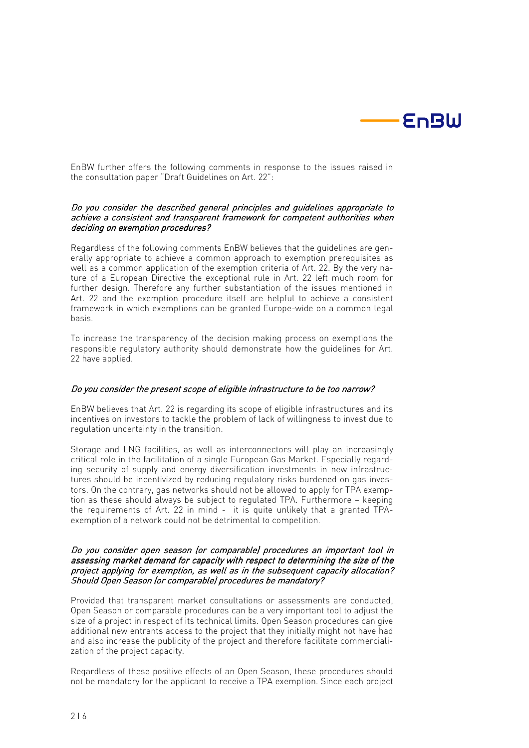

EnBW further offers the following comments in response to the issues raised in the consultation paper "Draft Guidelines on Art. 22":

## Do you consider the described general principles and guidelines appropriate to achieve a consistent and transparent framework for competent authorities when deciding on exemption procedures?

Regardless of the following comments EnBW believes that the guidelines are generally appropriate to achieve a common approach to exemption prerequisites as well as a common application of the exemption criteria of Art. 22. By the very nature of a European Directive the exceptional rule in Art. 22 left much room for further design. Therefore any further substantiation of the issues mentioned in Art. 22 and the exemption procedure itself are helpful to achieve a consistent framework in which exemptions can be granted Europe-wide on a common legal basis.

To increase the transparency of the decision making process on exemptions the responsible regulatory authority should demonstrate how the guidelines for Art. 22 have applied.

### Do you consider the present scope of eligible infrastructure to be too narrow?

EnBW believes that Art. 22 is regarding its scope of eligible infrastructures and its incentives on investors to tackle the problem of lack of willingness to invest due to regulation uncertainty in the transition.

Storage and LNG facilities, as well as interconnectors will play an increasingly critical role in the facilitation of a single European Gas Market. Especially regarding security of supply and energy diversification investments in new infrastructures should be incentivized by reducing regulatory risks burdened on gas investors. On the contrary, gas networks should not be allowed to apply for TPA exemption as these should always be subject to regulated TPA. Furthermore – keeping the requirements of Art. 22 in mind - it is quite unlikely that a granted TPAexemption of a network could not be detrimental to competition.

### Do you consider open season (or comparable) procedures an important tool in assessing market demand for capacity with respect to determining the size of the project applying for exemption, as well as in the subsequent capacity allocation?  $\overline{S}$ hould Open Season (or comparable) procedures be mandatory?

Provided that transparent market consultations or assessments are conducted, Open Season or comparable procedures can be a very important tool to adjust the size of a project in respect of its technical limits. Open Season procedures can give additional new entrants access to the project that they initially might not have had and also increase the publicity of the project and therefore facilitate commercialization of the project capacity.

Regardless of these positive effects of an Open Season, these procedures should not be mandatory for the applicant to receive a TPA exemption. Since each project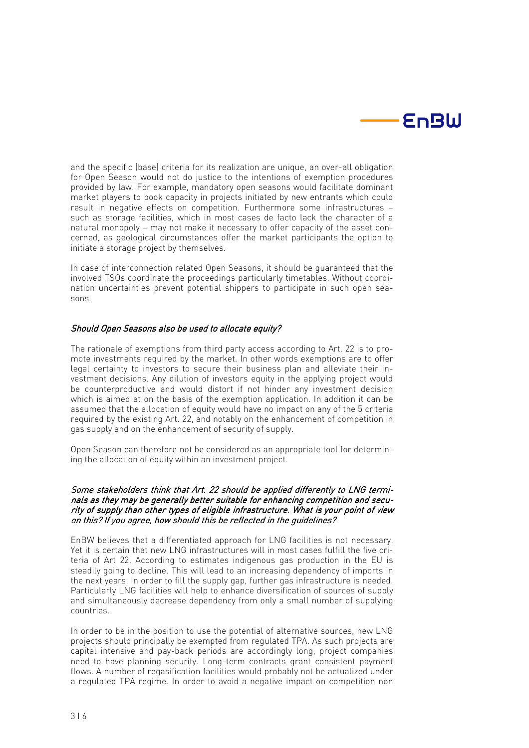

and the specific (base) criteria for its realization are unique, an over-all obligation for Open Season would not do justice to the intentions of exemption procedures provided by law. For example, mandatory open seasons would facilitate dominant market players to book capacity in projects initiated by new entrants which could result in negative effects on competition. Furthermore some infrastructures – such as storage facilities, which in most cases de facto lack the character of a natural monopoly – may not make it necessary to offer capacity of the asset concerned, as geological circumstances offer the market participants the option to initiate a storage project by themselves.

In case of interconnection related Open Seasons, it should be guaranteed that the involved TSOs coordinate the proceedings particularly timetables. Without coordination uncertainties prevent potential shippers to participate in such open seasons.

## Should Open Seasons also be used to allocate equity?

The rationale of exemptions from third party access according to Art. 22 is to promote investments required by the market. In other words exemptions are to offer legal certainty to investors to secure their business plan and alleviate their investment decisions. Any dilution of investors equity in the applying project would be counterproductive and would distort if not hinder any investment decision which is aimed at on the basis of the exemption application. In addition it can be assumed that the allocation of equity would have no impact on any of the 5 criteria required by the existing Art. 22, and notably on the enhancement of competition in gas supply and on the enhancement of security of supply.

Open Season can therefore not be considered as an appropriate tool for determining the allocation of equity within an investment project.

## Some stakeholders think that Art. 22 should be applied differently to LNG terminals as they may be generally better suitable for enhancing competition and security of supply than other types of eligible infrastructure. What is your point of view on this? If you agree, how should this be reflected in the guidelines?

EnBW believes that a differentiated approach for LNG facilities is not necessary. Yet it is certain that new LNG infrastructures will in most cases fulfill the five criteria of Art 22. According to estimates indigenous gas production in the EU is steadily going to decline. This will lead to an increasing dependency of imports in the next years. In order to fill the supply gap, further gas infrastructure is needed. Particularly LNG facilities will help to enhance diversification of sources of supply and simultaneously decrease dependency from only a small number of supplying countries.

In order to be in the position to use the potential of alternative sources, new LNG projects should principally be exempted from regulated TPA. As such projects are capital intensive and pay-back periods are accordingly long, project companies need to have planning security. Long-term contracts grant consistent payment flows. A number of regasification facilities would probably not be actualized under a regulated TPA regime. In order to avoid a negative impact on competition non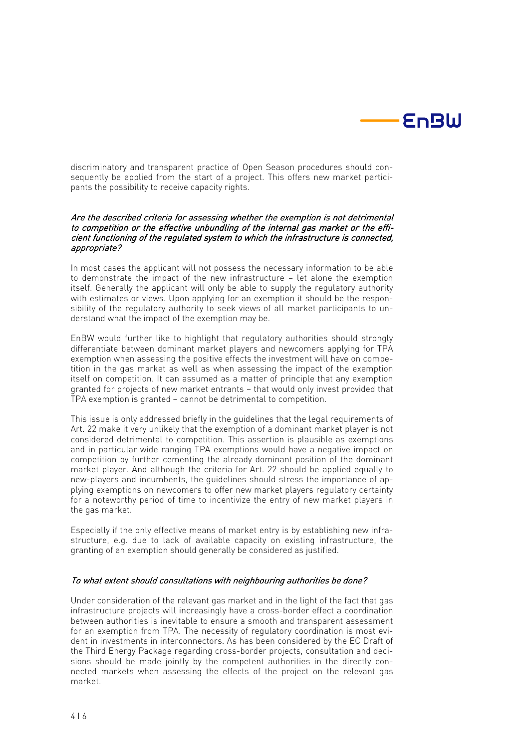

discriminatory and transparent practice of Open Season procedures should consequently be applied from the start of a project. This offers new market participants the possibility to receive capacity rights.

## Are the described criteria for assessing whether the exemption is not detrimental to competition or the effective unbundling of the internal gas market or the efficient functioning of the regulated system to which the infrastructure is connected, appropriate?

In most cases the applicant will not possess the necessary information to be able to demonstrate the impact of the new infrastructure - let alone the exemption itself. Generally the applicant will only be able to supply the regulatory authority with estimates or views. Upon applying for an exemption it should be the responsibility of the regulatory authority to seek views of all market participants to understand what the impact of the exemption may be.

EnBW would further like to highlight that regulatory authorities should strongly differentiate between dominant market players and newcomers applying for TPA exemption when assessing the positive effects the investment will have on competition in the gas market as well as when assessing the impact of the exemption itself on competition. It can assumed as a matter of principle that any exemption granted for projects of new market entrants – that would only invest provided that TPA exemption is granted – cannot be detrimental to competition.

This issue is only addressed briefly in the guidelines that the legal requirements of Art. 22 make it very unlikely that the exemption of a dominant market player is not considered detrimental to competition. This assertion is plausible as exemptions and in particular wide ranging TPA exemptions would have a negative impact on competition by further cementing the already dominant position of the dominant market player. And although the criteria for Art. 22 should be applied equally to new-players and incumbents, the guidelines should stress the importance of applying exemptions on newcomers to offer new market players regulatory certainty for a noteworthy period of time to incentivize the entry of new market players in the gas market.

Especially if the only effective means of market entry is by establishing new infrastructure, e.g. due to lack of available capacity on existing infrastructure, the granting of an exemption should generally be considered as justified.

### To what extent should consultations with neighbouring authorities be done?

Under consideration of the relevant gas market and in the light of the fact that gas infrastructure projects will increasingly have a cross-border effect a coordination between authorities is inevitable to ensure a smooth and transparent assessment for an exemption from TPA. The necessity of regulatory coordination is most evident in investments in interconnectors. As has been considered by the EC Draft of the Third Energy Package regarding cross-border projects, consultation and decisions should be made jointly by the competent authorities in the directly connected markets when assessing the effects of the project on the relevant gas market.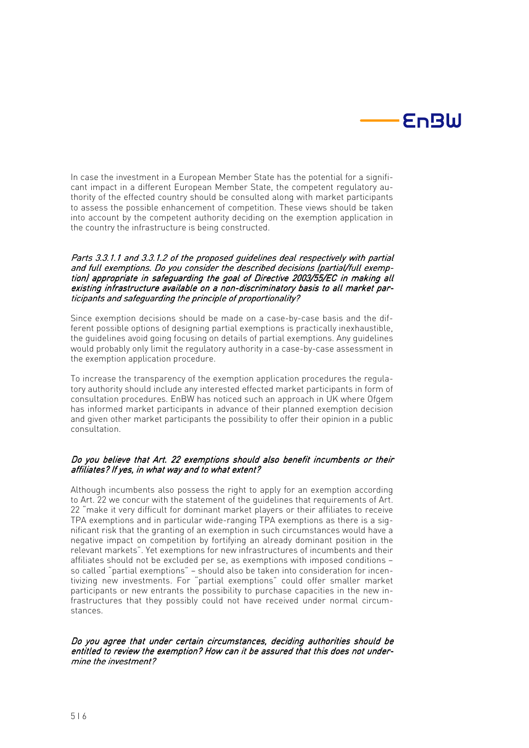

In case the investment in a European Member State has the potential for a significant impact in a different European Member State, the competent regulatory authority of the effected country should be consulted along with market participants to assess the possible enhancement of competition. These views should be taken into account by the competent authority deciding on the exemption application in the country the infrastructure is being constructed.

### Parts 3.3.1.1 and 3.3.1.2 of the proposed guidelines deal respectively with partial and full exemptions. Do you consider the described decisions (partial/full exemption) appropriate in safeguarding the goal of Directive 2003/55/EC in making all existing infrastructure available on a non-discriminatory basis to all market participants and safeguarding the principle of proportionality?

Since exemption decisions should be made on a case-by-case basis and the different possible options of designing partial exemptions is practically inexhaustible, the guidelines avoid going focusing on details of partial exemptions. Any guidelines would probably only limit the regulatory authority in a case-by-case assessment in the exemption application procedure.

To increase the transparency of the exemption application procedures the regulatory authority should include any interested effected market participants in form of consultation procedures. EnBW has noticed such an approach in UK where Ofgem has informed market participants in advance of their planned exemption decision and given other market participants the possibility to offer their opinion in a public consultation.

# Do you believe that Art. 22 exemptions should also benefit incumbents or their affiliates? If yes, in what way and to what extent?

Although incumbents also possess the right to apply for an exemption according to Art. 22 we concur with the statement of the guidelines that requirements of Art. 22 "make it very difficult for dominant market players or their affiliates to receive TPA exemptions and in particular wide-ranging TPA exemptions as there is a significant risk that the granting of an exemption in such circumstances would have a negative impact on competition by fortifying an already dominant position in the relevant markets". Yet exemptions for new infrastructures of incumbents and their affiliates should not be excluded per se, as exemptions with imposed conditions – so called "partial exemptions" – should also be taken into consideration for incentivizing new investments. For "partial exemptions" could offer smaller market participants or new entrants the possibility to purchase capacities in the new infrastructures that they possibly could not have received under normal circumstances.

### Do you agree that under certain circumstances, deciding authorities should be entitled to review the exemption? How can it be assured that this does not undermine the investment?